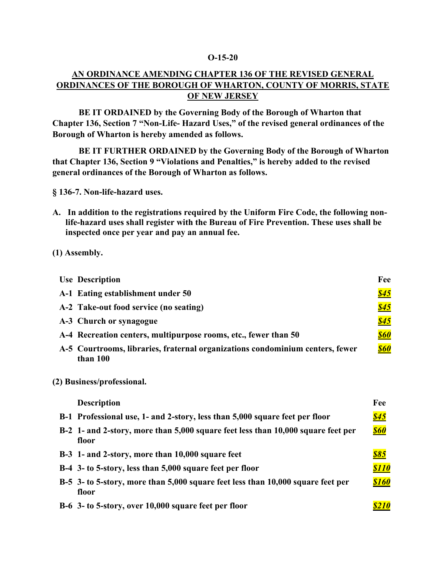### **O-15-20**

## **AN ORDINANCE AMENDING CHAPTER 136 OF THE REVISED GENERAL ORDINANCES OF THE BOROUGH OF WHARTON, COUNTY OF MORRIS, STATE OF NEW JERSEY**

**BE IT ORDAINED by the Governing Body of the Borough of Wharton that Chapter 136, Section 7 "Non-Life- Hazard Uses," of the revised general ordinances of the Borough of Wharton is hereby amended as follows.**

**BE IT FURTHER ORDAINED by the Governing Body of the Borough of Wharton that Chapter 136, Section 9 "Violations and Penalties," is hereby added to the revised general ordinances of the Borough of Wharton as follows.**

**§ 136-7. Non-life-hazard uses.**

**A. In addition to the registrations required by the Uniform Fire Code, the following nonlife-hazard uses shall register with the Bureau of Fire Prevention. These uses shall be inspected once per year and pay an annual fee.**

### **(1) Assembly.**

| <b>Use Description</b>                                                                    | Fee         |
|-------------------------------------------------------------------------------------------|-------------|
| A-1 Eating establishment under 50                                                         | <u>\$45</u> |
| A-2 Take-out food service (no seating)                                                    | \$45        |
| A-3 Church or synagogue                                                                   | \$45        |
| A-4 Recreation centers, multipurpose rooms, etc., fewer than 50                           | <b>\$60</b> |
| A-5 Courtrooms, libraries, fraternal organizations condominium centers, fewer<br>than 100 | <b>\$60</b> |

#### **(2) Business/professional.**

| <b>Description</b>                                                                        | Fee          |
|-------------------------------------------------------------------------------------------|--------------|
| B-1 Professional use, 1- and 2-story, less than 5,000 square feet per floor               | \$45         |
| B-2 1- and 2-story, more than 5,000 square feet less than 10,000 square feet per<br>floor | \$60         |
| B-3 1- and 2-story, more than 10,000 square feet                                          | \$85         |
| B-4 3- to 5-story, less than 5,000 square feet per floor                                  | <b>\$110</b> |
| B-5 3- to 5-story, more than 5,000 square feet less than 10,000 square feet per<br>floor  | <b>\$160</b> |
| B-6 3- to 5-story, over 10,000 square feet per floor                                      |              |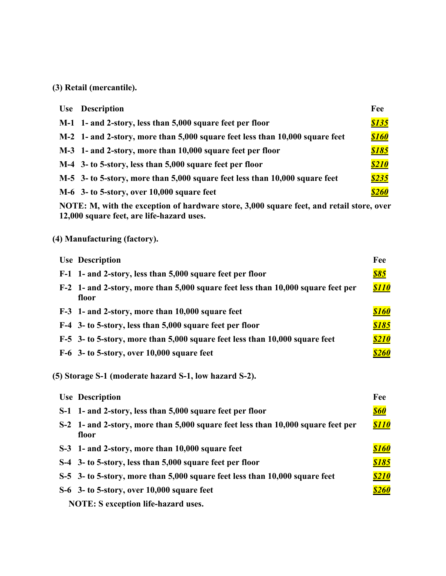# **(3) Retail (mercantile).**

| <b>Use</b> Description                                                       | Fee          |
|------------------------------------------------------------------------------|--------------|
| M-1 1- and 2-story, less than 5,000 square feet per floor                    | \$135        |
| M-2 1- and 2-story, more than 5,000 square feet less than 10,000 square feet | \$160        |
| M-3 1- and 2-story, more than 10,000 square feet per floor                   | \$185        |
| M-4 3- to 5-story, less than 5,000 square feet per floor                     | <b>\$210</b> |
| M-5 3- to 5-story, more than 5,000 square feet less than 10,000 square feet  | \$235        |
| $M-6$ 3- to 5-story, over 10,000 square feet                                 | <b>\$260</b> |

**NOTE: M, with the exception of hardware store, 3,000 square feet, and retail store, over 12,000 square feet, are life-hazard uses.**

# **(4) Manufacturing (factory).**

| <b>Use Description</b>                                                                    | Fee          |
|-------------------------------------------------------------------------------------------|--------------|
| F-1 1- and 2-story, less than 5,000 square feet per floor                                 | <u>\$85</u>  |
| F-2 1- and 2-story, more than 5,000 square feet less than 10,000 square feet per<br>floor |              |
| F-3 1- and 2-story, more than 10,000 square feet                                          | \$160        |
| F-4 3- to 5-story, less than 5,000 square feet per floor                                  | <u>\$185</u> |
| F-5 3- to 5-story, more than 5,000 square feet less than 10,000 square feet               | <u>\$210</u> |
| $F-6$ 3- to 5-story, over 10,000 square feet                                              | <b>\$260</b> |
| (5) Storage S-1 (moderate hazard S-1, low hazard S-2).                                    | Fee          |
| <b>Use Description</b>                                                                    |              |
| S-1 1- and 2-story, less than 5,000 square feet per floor                                 | <u>\$60</u>  |
| S-2 1- and 2-story, more than 5,000 square feet less than 10,000 square feet per<br>floor | <b>\$110</b> |
| S-3 1- and 2-story, more than 10,000 square feet                                          | <b>\$160</b> |
| S-4 3- to 5-story, less than 5,000 square feet per floor                                  | <u>\$185</u> |
| S-5 3- to 5-story, more than 5,000 square feet less than 10,000 square feet               | <u>\$210</u> |
| S-6 3- to 5-story, over 10,000 square feet                                                | <u>\$260</u> |
| <b>NOTE:</b> S exception life-hazard uses.                                                |              |